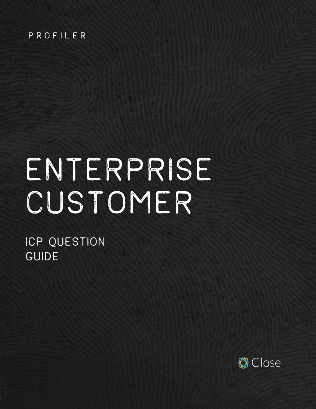#### PROFILER

# ENTERPRISE CUSTOMER

ICP QUESTION GUIDE

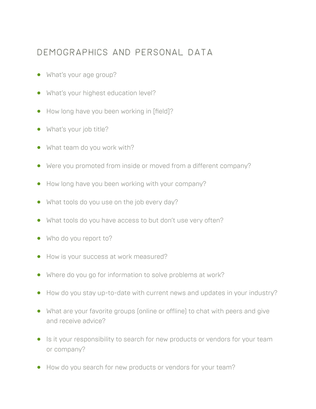#### Demographics and personal data

- **•** What's your age group?
- **•** What's your highest education level?
- **•** How long have you been working in [field]?
- **•** What's your job title?
- **•** What team do you work with?
- **•** Were you promoted from inside or moved from a different company?
- **•** How long have you been working with your company?
- **•** What tools do you use on the job every day?
- **•** What tools do you have access to but don't use very often?
- **•** Who do you report to?
- **•** How is your success at work measured?
- **•** Where do you go for information to solve problems at work?
- **•** How do you stay up-to-date with current news and updates in your industry?
- **•** What are your favorite groups (online or offline) to chat with peers and give and receive advice?
- **•** Is it your responsibility to search for new products or vendors for your team or company?
- **•** How do you search for new products or vendors for your team?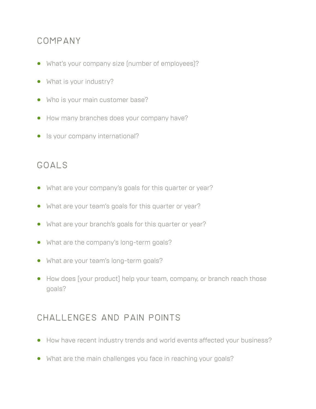## Company

- **•** What's your company size (number of employees)?
- **•** What is your industry?
- **•** Who is your main customer base?
- **•** How many branches does your company have?
- **•** Is your company international?

## Goals

- **•** What are your company's goals for this quarter or year?
- **•** What are your team's goals for this quarter or year?
- **•** What are your branch's goals for this quarter or year?
- **•** What are the company's long-term goals?
- **•** What are your team's long-term goals?
- **•** How does [your product] help your team, company, or branch reach those goals?

# Challenges and pain points

- **•** How have recent industry trends and world events affected your business?
- **•** What are the main challenges you face in reaching your goals?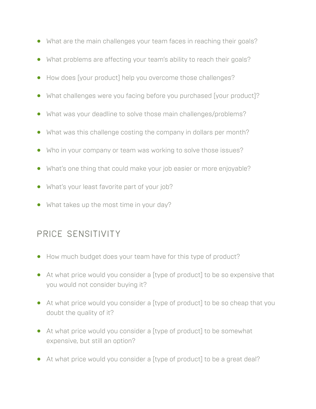- **•** What are the main challenges your team faces in reaching their goals?
- **•** What problems are affecting your team's ability to reach their goals?
- **•** How does [your product] help you overcome those challenges?
- **•** What challenges were you facing before you purchased [your product]?
- **•** What was your deadline to solve those main challenges/problems?
- **•** What was this challenge costing the company in dollars per month?
- **•** Who in your company or team was working to solve those issues?
- **•** What's one thing that could make your job easier or more enjoyable?
- **•** What's your least favorite part of your job?
- **•** What takes up the most time in your day?

# PRICE SENSITIVITY

- **•** How much budget does your team have for this type of product?
- **•** At what price would you consider a [type of product] to be so expensive that you would not consider buying it?
- **•** At what price would you consider a [type of product] to be so cheap that you doubt the quality of it?
- **•** At what price would you consider a [type of product] to be somewhat expensive, but still an option?
- **•** At what price would you consider a [type of product] to be a great deal?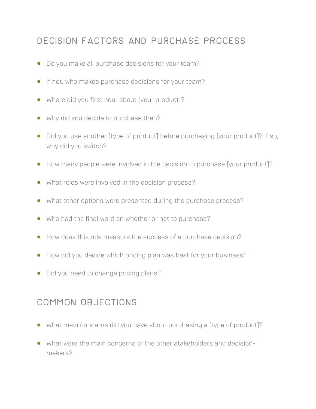# Decision factors and purchase process

- **•** Do you make all purchase decisions for your team?
- **•** If not, who makes purchase decisions for your team?
- **•** Where did you first hear about [your product]?
- **•** Why did you decide to purchase then?
- **•** Did you use another [type of product] before purchasing [your product]? If so, why did you switch?
- **•** How many people were involved in the decision to purchase [your product]?
- **•** What roles were involved in the decision process?
- **•** What other options were presented during the purchase process?
- **•** Who had the final word on whether or not to purchase?
- **•** How does this role measure the success of a purchase decision?
- **•** How did you decide which pricing plan was best for your business?
- **•** Did you need to change pricing plans?

### Common objections

- **•** What main concerns did you have about purchasing a [type of product]?
- **•** What were the main concerns of the other stakeholders and decisionmakers?